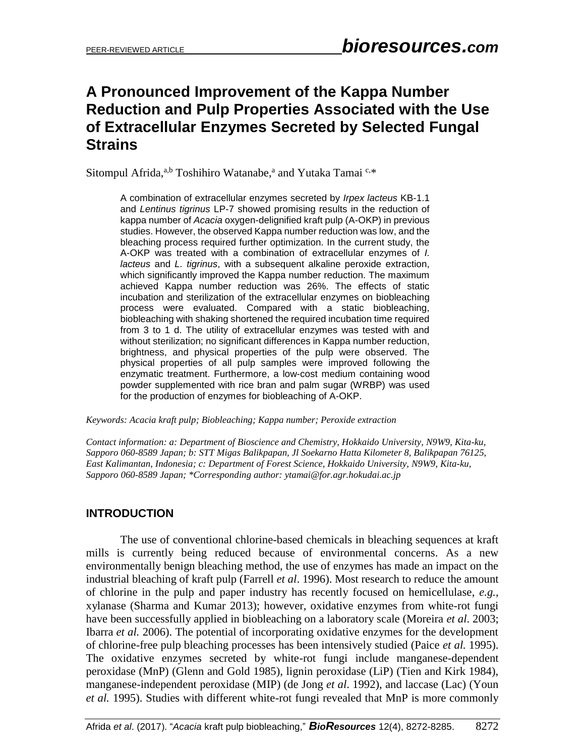# **A Pronounced Improvement of the Kappa Number Reduction and Pulp Properties Associated with the Use of Extracellular Enzymes Secreted by Selected Fungal Strains**

Sitompul Afrida,<sup>a,b</sup> Toshihiro Watanabe,<sup>a</sup> and Yutaka Tamai C,\*

A combination of extracellular enzymes secreted by *Irpex lacteus* KB-1.1 and *Lentinus tigrinus* LP-7 showed promising results in the reduction of kappa number of *Acacia* oxygen-delignified kraft pulp (A-OKP) in previous studies. However, the observed Kappa number reduction was low, and the bleaching process required further optimization. In the current study, the A-OKP was treated with a combination of extracellular enzymes of *I. lacteus* and *L. tigrinus*, with a subsequent alkaline peroxide extraction, which significantly improved the Kappa number reduction. The maximum achieved Kappa number reduction was 26%. The effects of static incubation and sterilization of the extracellular enzymes on biobleaching process were evaluated. Compared with a static biobleaching, biobleaching with shaking shortened the required incubation time required from 3 to 1 d. The utility of extracellular enzymes was tested with and without sterilization; no significant differences in Kappa number reduction, brightness, and physical properties of the pulp were observed. The physical properties of all pulp samples were improved following the enzymatic treatment. Furthermore, a low-cost medium containing wood powder supplemented with rice bran and palm sugar (WRBP) was used for the production of enzymes for biobleaching of A-OKP.

*Keywords: Acacia kraft pulp; Biobleaching; Kappa number; Peroxide extraction*

*Contact information: a: Department of Bioscience and Chemistry, Hokkaido University, N9W9, Kita-ku, Sapporo 060-8589 Japan; b: STT Migas Balikpapan, Jl Soekarno Hatta Kilometer 8, Balikpapan 76125, East Kalimantan, Indonesia; c: Department of Forest Science, Hokkaido University, N9W9, Kita-ku, Sapporo 060-8589 Japan; \*Corresponding author: [ytamai@for.agr.hokudai.ac.jp](mailto:liujb3@ncsu.edu)*

# **INTRODUCTION**

The use of conventional chlorine-based chemicals in bleaching sequences at kraft mills is currently being reduced because of environmental concerns. As a new environmentally benign bleaching method, the use of enzymes has made an impact on the industrial bleaching of kraft pulp (Farrell *et al*. 1996). Most research to reduce the amount of chlorine in the pulp and paper industry has recently focused on hemicellulase, *e.g.*, xylanase (Sharma and Kumar 2013); however, oxidative enzymes from white-rot fungi have been successfully applied in biobleaching on a laboratory scale (Moreira *et al*. 2003; Ibarra *et al.* 2006). The potential of incorporating oxidative enzymes for the development of chlorine-free pulp bleaching processes has been intensively studied (Paice *et al.* 1995). The oxidative enzymes secreted by white-rot fungi include manganese-dependent peroxidase (MnP) (Glenn and Gold 1985), lignin peroxidase (LiP) (Tien and Kirk 1984), manganese-independent peroxidase (MIP) (de Jong *et al*. 1992), and laccase (Lac) (Youn *et al.* 1995). Studies with different white-rot fungi revealed that MnP is more commonly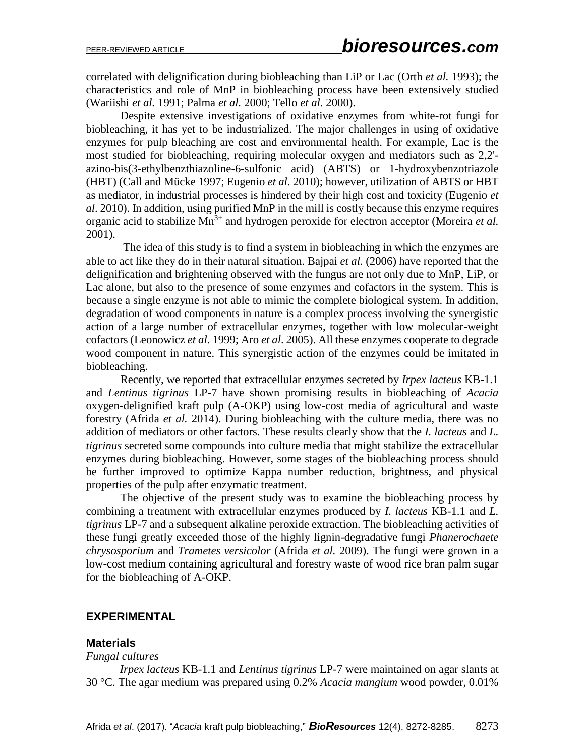correlated with delignification during biobleaching than LiP or Lac (Orth *et al.* 1993); the characteristics and role of MnP in biobleaching process have been extensively studied (Wariishi *et al.* 1991; Palma *et al.* 2000; Tello *et al.* 2000).

Despite extensive investigations of oxidative enzymes from white-rot fungi for biobleaching, it has yet to be industrialized. The major challenges in using of oxidative enzymes for pulp bleaching are cost and environmental health. For example, Lac is the most studied for biobleaching, requiring molecular oxygen and mediators such as 2,2' azino-bis(3-ethylbenzthiazoline-6-sulfonic acid) (ABTS) or 1-hydroxybenzotriazole (HBT) (Call and Mücke 1997; Eugenio *et al*. 2010); however, utilization of ABTS or HBT as mediator, in industrial processes is hindered by their high cost and toxicity (Eugenio *et al*. 2010). In addition, using purified MnP in the mill is costly because this enzyme requires organic acid to stabilize  $\text{Mn}^3$ <sup>+</sup> and hydrogen peroxide for electron acceptor (Moreira *et al.*) 2001).

The idea of this study is to find a system in biobleaching in which the enzymes are able to act like they do in their natural situation. Bajpai *et al.* (2006) have reported that the delignification and brightening observed with the fungus are not only due to MnP, LiP, or Lac alone, but also to the presence of some enzymes and cofactors in the system. This is because a single enzyme is not able to mimic the complete biological system. In addition, degradation of wood components in nature is a complex process involving the synergistic action of a large number of extracellular enzymes, together with low molecular-weight cofactors (Leonowicz *et al*. 1999; Aro *et al*. 2005). All these enzymes cooperate to degrade wood component in nature. This synergistic action of the enzymes could be imitated in biobleaching.

Recently, we reported that extracellular enzymes secreted by *Irpex lacteus* KB-1.1 and *Lentinus tigrinus* LP-7 have shown promising results in biobleaching of *Acacia* oxygen-delignified kraft pulp (A-OKP) using low-cost media of agricultural and waste forestry (Afrida *et al.* 2014). During biobleaching with the culture media, there was no addition of mediators or other factors. These results clearly show that the *I. lacteus* and *L. tigrinus* secreted some compounds into culture media that might stabilize the extracellular enzymes during biobleaching. However, some stages of the biobleaching process should be further improved to optimize Kappa number reduction, brightness, and physical properties of the pulp after enzymatic treatment.

The objective of the present study was to examine the biobleaching process by combining a treatment with extracellular enzymes produced by *I. lacteus* KB-1.1 and *L. tigrinus* LP-7 and a subsequent alkaline peroxide extraction. The biobleaching activities of these fungi greatly exceeded those of the highly lignin-degradative fungi *Phanerochaete chrysosporium* and *Trametes versicolor* (Afrida *et al.* 2009). The fungi were grown in a low-cost medium containing agricultural and forestry waste of wood rice bran palm sugar for the biobleaching of A-OKP.

#### **EXPERIMENTAL**

#### **Materials**

#### *Fungal cultures*

*Irpex lacteus* KB-1.1 and *Lentinus tigrinus* LP-7 were maintained on agar slants at 30 °C. The agar medium was prepared using 0.2% *Acacia mangium* wood powder, 0.01%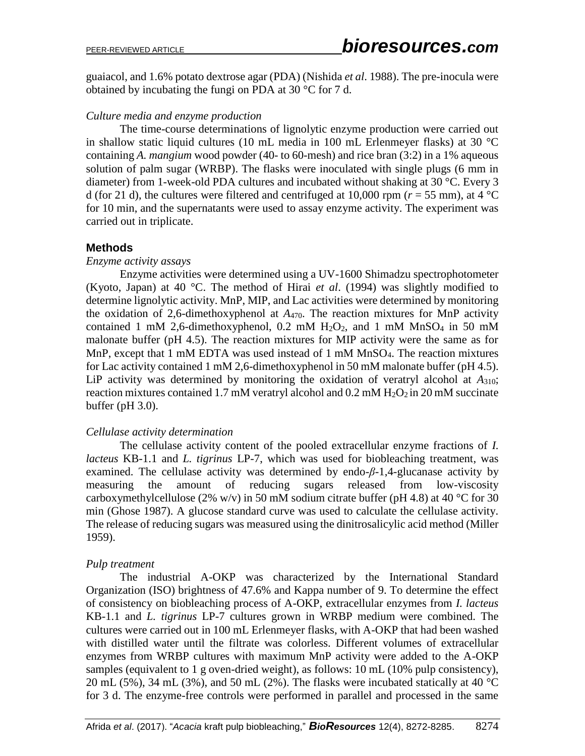guaiacol, and 1.6% potato dextrose agar (PDA) (Nishida *et al*. 1988). The pre-inocula were obtained by incubating the fungi on PDA at 30 °C for 7 d.

### *Culture media and enzyme production*

The time-course determinations of lignolytic enzyme production were carried out in shallow static liquid cultures (10 mL media in 100 mL Erlenmeyer flasks) at 30 °C containing *A. mangium* wood powder (40- to 60-mesh) and rice bran (3:2) in a 1% aqueous solution of palm sugar (WRBP). The flasks were inoculated with single plugs (6 mm in diameter) from 1-week-old PDA cultures and incubated without shaking at 30 °C. Every 3 d (for 21 d), the cultures were filtered and centrifuged at 10,000 rpm ( $r = 55$  mm), at 4 °C for 10 min, and the supernatants were used to assay enzyme activity. The experiment was carried out in triplicate.

## **Methods**

#### *Enzyme activity assays*

Enzyme activities were determined using a UV-1600 Shimadzu spectrophotometer (Kyoto, Japan) at 40 °C. The method of Hirai *et al*. (1994) was slightly modified to determine lignolytic activity. MnP, MIP, and Lac activities were determined by monitoring the oxidation of 2,6-dimethoxyphenol at *A*470. The reaction mixtures for MnP activity contained 1 mM 2,6-dimethoxyphenol, 0.2 mM  $H<sub>2</sub>O<sub>2</sub>$ , and 1 mM MnSO<sub>4</sub> in 50 mM malonate buffer (pH 4.5). The reaction mixtures for MIP activity were the same as for MnP, except that 1 mM EDTA was used instead of 1 mM MnSO4. The reaction mixtures for Lac activity contained 1 mM 2,6-dimethoxyphenol in 50 mM malonate buffer (pH 4.5). LiP activity was determined by monitoring the oxidation of veratryl alcohol at *A*310; reaction mixtures contained 1.7 mM veratryl alcohol and  $0.2$  mM  $H<sub>2</sub>O<sub>2</sub>$  in 20 mM succinate buffer (pH 3.0).

## *Cellulase activity determination*

The cellulase activity content of the pooled extracellular enzyme fractions of *I. lacteus* KB-1.1 and *L. tigrinus* LP-7, which was used for biobleaching treatment, was examined. The cellulase activity was determined by endo- $\beta$ -1,4-glucanase activity by measuring the amount of reducing sugars released from low-viscosity carboxymethylcellulose (2% w/v) in 50 mM sodium citrate buffer (pH 4.8) at 40 °C for 30 min (Ghose 1987). A glucose standard curve was used to calculate the cellulase activity. The release of reducing sugars was measured using the dinitrosalicylic acid method (Miller 1959).

## *Pulp treatment*

The industrial A-OKP was characterized by the International Standard Organization (ISO) brightness of 47.6% and Kappa number of 9. To determine the effect of consistency on biobleaching process of A-OKP, extracellular enzymes from *I. lacteus* KB-1.1 and *L. tigrinus* LP-7 cultures grown in WRBP medium were combined. The cultures were carried out in 100 mL Erlenmeyer flasks, with A-OKP that had been washed with distilled water until the filtrate was colorless. Different volumes of extracellular enzymes from WRBP cultures with maximum MnP activity were added to the A-OKP samples (equivalent to 1 g oven-dried weight), as follows: 10 mL (10% pulp consistency), 20 mL (5%), 34 mL (3%), and 50 mL (2%). The flasks were incubated statically at 40  $^{\circ}$ C for 3 d. The enzyme-free controls were performed in parallel and processed in the same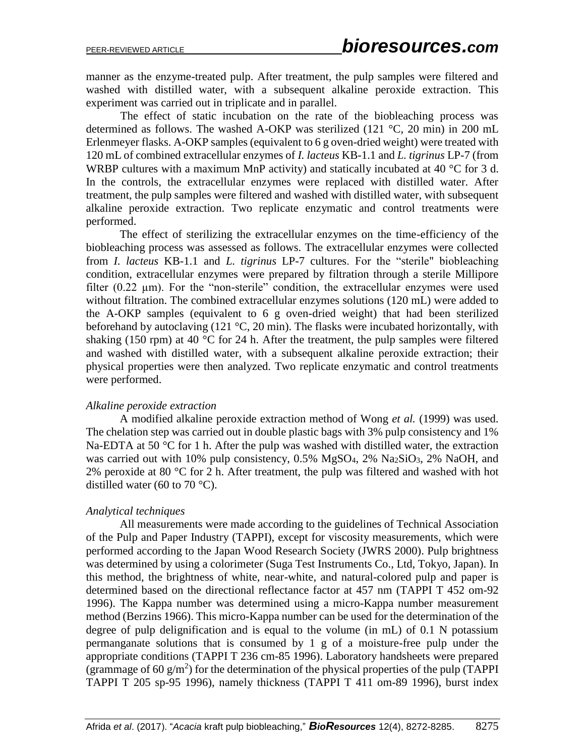manner as the enzyme-treated pulp. After treatment, the pulp samples were filtered and washed with distilled water, with a subsequent alkaline peroxide extraction. This experiment was carried out in triplicate and in parallel.

The effect of static incubation on the rate of the biobleaching process was determined as follows. The washed A-OKP was sterilized (121 °C, 20 min) in 200 mL Erlenmeyer flasks. A-OKP samples (equivalent to 6 g oven-dried weight) were treated with 120 mL of combined extracellular enzymes of *I. lacteus* KB-1.1 and *L. tigrinus* LP-7 (from WRBP cultures with a maximum MnP activity) and statically incubated at 40 °C for 3 d. In the controls, the extracellular enzymes were replaced with distilled water. After treatment, the pulp samples were filtered and washed with distilled water, with subsequent alkaline peroxide extraction. Two replicate enzymatic and control treatments were performed.

The effect of sterilizing the extracellular enzymes on the time-efficiency of the biobleaching process was assessed as follows. The extracellular enzymes were collected from *I. lacteus* KB-1.1 and *L. tigrinus* LP-7 cultures. For the "sterile" biobleaching condition, extracellular enzymes were prepared by filtration through a sterile Millipore filter (0.22 µm). For the "non-sterile" condition, the extracellular enzymes were used without filtration. The combined extracellular enzymes solutions (120 mL) were added to the A-OKP samples (equivalent to 6 g oven-dried weight) that had been sterilized beforehand by autoclaving (121 °C, 20 min). The flasks were incubated horizontally, with shaking (150 rpm) at 40  $^{\circ}$ C for 24 h. After the treatment, the pulp samples were filtered and washed with distilled water, with a subsequent alkaline peroxide extraction; their physical properties were then analyzed. Two replicate enzymatic and control treatments were performed.

#### *Alkaline peroxide extraction*

A modified alkaline peroxide extraction method of Wong *et al.* (1999) was used. The chelation step was carried out in double plastic bags with 3% pulp consistency and 1% Na-EDTA at 50 °C for 1 h. After the pulp was washed with distilled water, the extraction was carried out with 10% pulp consistency,  $0.5\%$  MgSO<sub>4</sub>,  $2\%$  Na<sub>2</sub>SiO<sub>3</sub>,  $2\%$  NaOH, and 2% peroxide at 80  $\degree$ C for 2 h. After treatment, the pulp was filtered and washed with hot distilled water (60 to 70  $^{\circ}$ C).

#### *Analytical techniques*

All measurements were made according to the guidelines of Technical Association of the Pulp and Paper Industry (TAPPI), except for viscosity measurements, which were performed according to the Japan Wood Research Society (JWRS 2000). Pulp brightness was determined by using a colorimeter (Suga Test Instruments Co., Ltd, Tokyo, Japan). In this method, the brightness of white, near-white, and natural-colored pulp and paper is determined based on the directional reflectance factor at 457 nm (TAPPI T 452 om-92 1996). The Kappa number was determined using a micro-Kappa number measurement method (Berzins 1966). This micro-Kappa number can be used for the determination of the degree of pulp delignification and is equal to the volume (in mL) of 0.1 N potassium permanganate solutions that is consumed by 1 g of a moisture-free pulp under the appropriate conditions (TAPPI T 236 cm-85 1996). Laboratory handsheets were prepared (grammage of 60  $g/m<sup>2</sup>$ ) for the determination of the physical properties of the pulp (TAPPI TAPPI T 205 sp-95 1996), namely thickness (TAPPI T 411 om-89 1996), burst index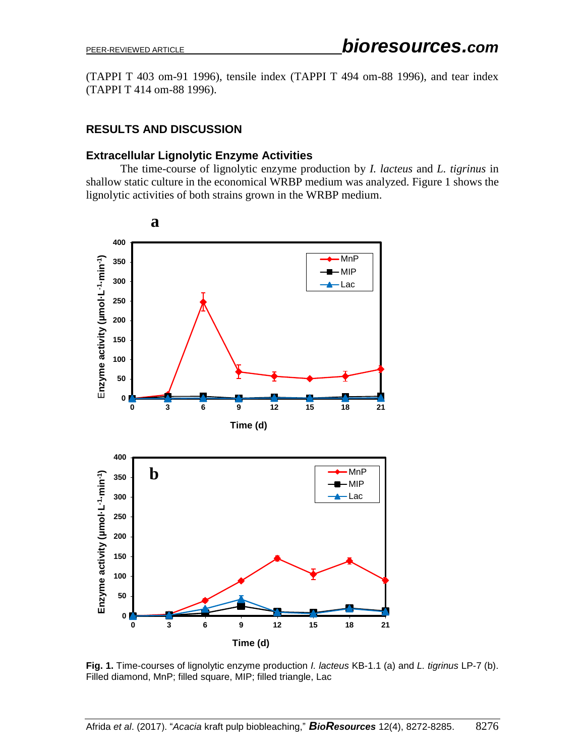(TAPPI T 403 om-91 1996), tensile index (TAPPI T 494 om-88 1996), and tear index (TAPPI T 414 om-88 1996).

# **RESULTS AND DISCUSSION**

### **Extracellular Lignolytic Enzyme Activities**

The time-course of lignolytic enzyme production by *I. lacteus* and *L. tigrinus* in shallow static culture in the economical WRBP medium was analyzed. Figure 1 shows the lignolytic activities of both strains grown in the WRBP medium.



**Fig. 1.** Time-courses of lignolytic enzyme production *I. lacteus* KB-1.1 (a) and *L. tigrinus* LP-7 (b). Filled diamond, MnP; filled square, MIP; filled triangle, Lac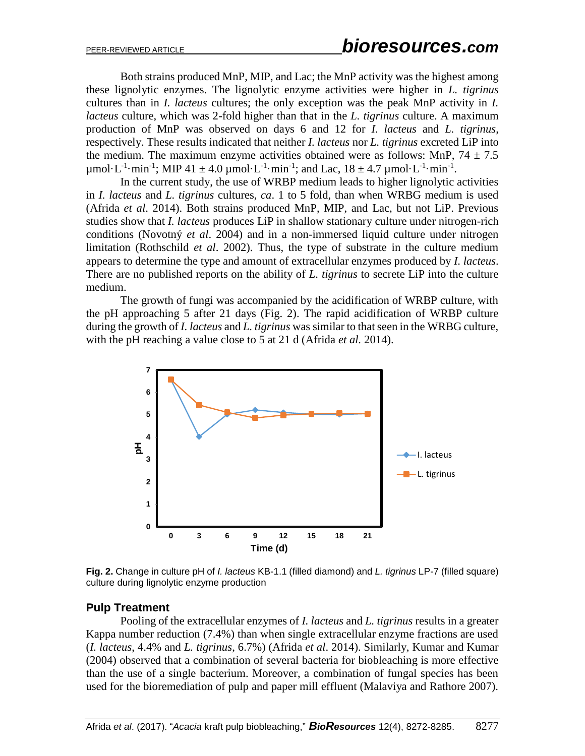Both strains produced MnP, MIP, and Lac; the MnP activity was the highest among these lignolytic enzymes. The lignolytic enzyme activities were higher in *L. tigrinus* cultures than in *I. lacteus* cultures; the only exception was the peak MnP activity in *I. lacteus* culture, which was 2-fold higher than that in the *L. tigrinus* culture. A maximum production of MnP was observed on days 6 and 12 for *I. lacteus* and *L. tigrinus*, respectively. These results indicated that neither *I. lacteus* nor *L. tigrinus* excreted LiP into the medium. The maximum enzyme activities obtained were as follows: MnP,  $74 \pm 7.5$  $\mu$ mol·L<sup>-1</sup>·min<sup>-1</sup>; MIP 41 ± 4.0  $\mu$ mol·L<sup>-1</sup>·min<sup>-1</sup>; and Lac, 18 ± 4.7  $\mu$ mol·L<sup>-1</sup>·min<sup>-1</sup>.

In the current study, the use of WRBP medium leads to higher lignolytic activities in *I. lacteus* and *L. tigrinus* cultures, *ca*. 1 to 5 fold, than when WRBG medium is used (Afrida *et al*. 2014). Both strains produced MnP, MIP, and Lac, but not LiP. Previous studies show that *I. lacteus* produces LiP in shallow stationary culture under nitrogen-rich conditions (Novotný *et al*. 2004) and in a non-immersed liquid culture under nitrogen limitation (Rothschild *et al*. 2002). Thus, the type of substrate in the culture medium appears to determine the type and amount of extracellular enzymes produced by *I. lacteus*. There are no published reports on the ability of *L. tigrinus* to secrete LiP into the culture medium.

The growth of fungi was accompanied by the acidification of WRBP culture, with the pH approaching 5 after 21 days (Fig. 2). The rapid acidification of WRBP culture during the growth of *I. lacteus* and *L. tigrinus* was similar to that seen in the WRBG culture, with the pH reaching a value close to 5 at 21 d (Afrida *et al.* 2014).



**Fig. 2.** Change in culture pH of *I. lacteus* KB-1.1 (filled diamond) and *L. tigrinus* LP-7 (filled square) culture during lignolytic enzyme production

#### **Pulp Treatment**

Pooling of the extracellular enzymes of *I. lacteus* and *L. tigrinus* results in a greater Kappa number reduction (7.4%) than when single extracellular enzyme fractions are used (*I. lacteus*, 4.4% and *L. tigrinus*, 6.7%) (Afrida *et al*. 2014). Similarly, Kumar and Kumar (2004) observed that a combination of several bacteria for biobleaching is more effective than the use of a single bacterium. Moreover, a combination of fungal species has been used for the bioremediation of pulp and paper mill effluent (Malaviya and Rathore 2007).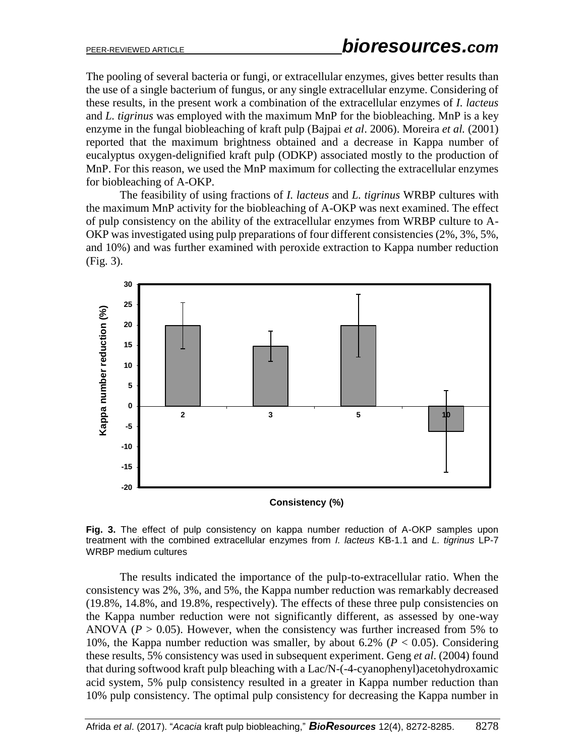The pooling of several bacteria or fungi, or extracellular enzymes, gives better results than the use of a single bacterium of fungus, or any single extracellular enzyme. Considering of these results, in the present work a combination of the extracellular enzymes of *I. lacteus* and *L. tigrinus* was employed with the maximum MnP for the biobleaching. MnP is a key enzyme in the fungal biobleaching of kraft pulp (Bajpai *et al*. 2006). Moreira *et al.* (2001) reported that the maximum brightness obtained and a decrease in Kappa number of eucalyptus oxygen-delignified kraft pulp (ODKP) associated mostly to the production of MnP. For this reason, we used the MnP maximum for collecting the extracellular enzymes for biobleaching of A-OKP.

The feasibility of using fractions of *I. lacteus* and *L. tigrinus* WRBP cultures with the maximum MnP activity for the biobleaching of A-OKP was next examined. The effect of pulp consistency on the ability of the extracellular enzymes from WRBP culture to A-OKP was investigated using pulp preparations of four different consistencies (2%, 3%, 5%, and 10%) and was further examined with peroxide extraction to Kappa number reduction (Fig. 3).



**Fig. 3.** The effect of pulp consistency on kappa number reduction of A-OKP samples upon treatment with the combined extracellular enzymes from *I. lacteus* KB-1.1 and *L. tigrinus* LP-7 WRBP medium cultures

The results indicated the importance of the pulp-to-extracellular ratio. When the consistency was 2%, 3%, and 5%, the Kappa number reduction was remarkably decreased (19.8%, 14.8%, and 19.8%, respectively). The effects of these three pulp consistencies on the Kappa number reduction were not significantly different, as assessed by one-way ANOVA ( $P > 0.05$ ). However, when the consistency was further increased from 5% to 10%, the Kappa number reduction was smaller, by about 6.2% ( $P < 0.05$ ). Considering these results, 5% consistency was used in subsequent experiment. Geng *et al*. (2004) found that during softwood kraft pulp bleaching with a Lac/N-(-4-cyanophenyl)acetohydroxamic acid system, 5% pulp consistency resulted in a greater in Kappa number reduction than 10% pulp consistency. The optimal pulp consistency for decreasing the Kappa number in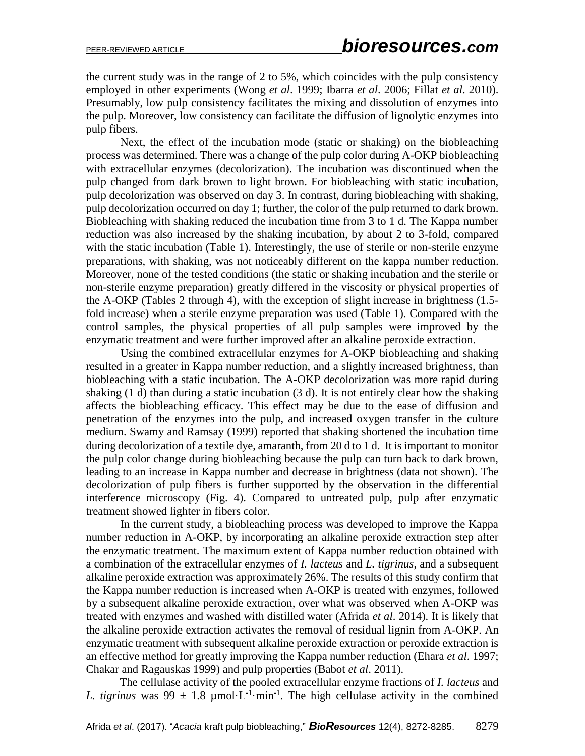the current study was in the range of 2 to 5%, which coincides with the pulp consistency employed in other experiments (Wong *et al*. 1999; Ibarra *et al*. 2006; Fillat *et al*. 2010). Presumably, low pulp consistency facilitates the mixing and dissolution of enzymes into the pulp. Moreover, low consistency can facilitate the diffusion of lignolytic enzymes into pulp fibers.

Next, the effect of the incubation mode (static or shaking) on the biobleaching process was determined. There was a change of the pulp color during A-OKP biobleaching with extracellular enzymes (decolorization). The incubation was discontinued when the pulp changed from dark brown to light brown. For biobleaching with static incubation, pulp decolorization was observed on day 3. In contrast, during biobleaching with shaking, pulp decolorization occurred on day 1; further, the color of the pulp returned to dark brown. Biobleaching with shaking reduced the incubation time from 3 to 1 d. The Kappa number reduction was also increased by the shaking incubation, by about 2 to 3-fold, compared with the static incubation (Table 1). Interestingly, the use of sterile or non-sterile enzyme preparations, with shaking, was not noticeably different on the kappa number reduction. Moreover, none of the tested conditions (the static or shaking incubation and the sterile or non-sterile enzyme preparation) greatly differed in the viscosity or physical properties of the A-OKP (Tables 2 through 4), with the exception of slight increase in brightness (1.5 fold increase) when a sterile enzyme preparation was used (Table 1). Compared with the control samples, the physical properties of all pulp samples were improved by the enzymatic treatment and were further improved after an alkaline peroxide extraction.

Using the combined extracellular enzymes for A-OKP biobleaching and shaking resulted in a greater in Kappa number reduction, and a slightly increased brightness, than biobleaching with a static incubation. The A-OKP decolorization was more rapid during shaking (1 d) than during a static incubation (3 d). It is not entirely clear how the shaking affects the biobleaching efficacy. This effect may be due to the ease of diffusion and penetration of the enzymes into the pulp, and increased oxygen transfer in the culture medium. Swamy and Ramsay (1999) reported that shaking shortened the incubation time during decolorization of a textile dye, amaranth, from 20 d to 1 d. It is important to monitor the pulp color change during biobleaching because the pulp can turn back to dark brown, leading to an increase in Kappa number and decrease in brightness (data not shown). The decolorization of pulp fibers is further supported by the observation in the differential interference microscopy (Fig. 4). Compared to untreated pulp, pulp after enzymatic treatment showed lighter in fibers color.

In the current study, a biobleaching process was developed to improve the Kappa number reduction in A-OKP, by incorporating an alkaline peroxide extraction step after the enzymatic treatment. The maximum extent of Kappa number reduction obtained with a combination of the extracellular enzymes of *I. lacteus* and *L. tigrinus*, and a subsequent alkaline peroxide extraction was approximately 26%. The results of this study confirm that the Kappa number reduction is increased when A-OKP is treated with enzymes, followed by a subsequent alkaline peroxide extraction, over what was observed when A-OKP was treated with enzymes and washed with distilled water (Afrida *et al*. 2014). It is likely that the alkaline peroxide extraction activates the removal of residual lignin from A-OKP. An enzymatic treatment with subsequent alkaline peroxide extraction or peroxide extraction is an effective method for greatly improving the Kappa number reduction (Ehara *et al*. 1997; Chakar and Ragauskas 1999) and pulp properties (Babot *et al*. 2011).

The cellulase activity of the pooled extracellular enzyme fractions of *I. lacteus* and L. *tigrinus* was  $99 \pm 1.8 \mu$  mol·L<sup>-1</sup>·min<sup>-1</sup>. The high cellulase activity in the combined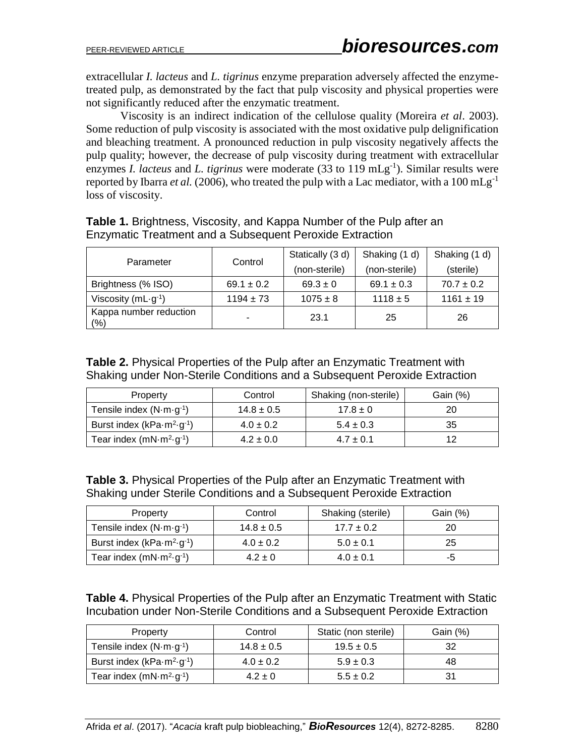extracellular *I. lacteus* and *L. tigrinus* enzyme preparation adversely affected the enzymetreated pulp, as demonstrated by the fact that pulp viscosity and physical properties were not significantly reduced after the enzymatic treatment.

Viscosity is an indirect indication of the cellulose quality (Moreira *et al*. 2003). Some reduction of pulp viscosity is associated with the most oxidative pulp delignification and bleaching treatment. A pronounced reduction in pulp viscosity negatively affects the pulp quality; however, the decrease of pulp viscosity during treatment with extracellular enzymes *I. lacteus* and *L. tigrinus* were moderate (33 to 119 mLg<sup>-1</sup>). Similar results were reported by Ibarra *et al.* (2006), who treated the pulp with a Lac mediator, with a  $100 \text{ mLg}^{-1}$ loss of viscosity.

| <b>Table 1.</b> Brightness, Viscosity, and Kappa Number of the Pulp after an |  |
|------------------------------------------------------------------------------|--|
| Enzymatic Treatment and a Subsequent Peroxide Extraction                     |  |

| Parameter                       | Control        | Statically (3 d) | Shaking (1 d)  | Shaking (1 d)  |
|---------------------------------|----------------|------------------|----------------|----------------|
|                                 |                | (non-sterile)    | (non-sterile)  | (sterile)      |
| Brightness (% ISO)              | $69.1 \pm 0.2$ | $69.3 \pm 0$     | $69.1 \pm 0.3$ | $70.7 \pm 0.2$ |
| Viscosity ( $mL \cdot g^{-1}$ ) | $1194 \pm 73$  | $1075 \pm 8$     | $1118 \pm 5$   | $1161 \pm 19$  |
| Kappa number reduction<br>(%)   | -              | 23.1             | 25             | 26             |

**Table 2.** Physical Properties of the Pulp after an Enzymatic Treatment with Shaking under Non-Sterile Conditions and a Subsequent Peroxide Extraction

| Property                                                          | Control        | Shaking (non-sterile) | Gain $(\%)$ |
|-------------------------------------------------------------------|----------------|-----------------------|-------------|
| Tensile index $(N \cdot m \cdot g^{-1})$                          | $14.8 \pm 0.5$ | $17.8 \pm 0$          | 20          |
| Burst index (kPa $\cdot$ m <sup>2</sup> $\cdot$ g <sup>-1</sup> ) | $4.0 \pm 0.2$  | $5.4 \pm 0.3$         | 35          |
| Tear index $(mN·m2·g-1)$                                          | $4.2 \pm 0.0$  | $4.7 \pm 0.1$         | 12          |

**Table 3.** Physical Properties of the Pulp after an Enzymatic Treatment with Shaking under Sterile Conditions and a Subsequent Peroxide Extraction

| Property                                                          | Control        | Shaking (sterile) | Gain (%) |
|-------------------------------------------------------------------|----------------|-------------------|----------|
| Tensile index $(N \cdot m \cdot g^{-1})$                          | $14.8 \pm 0.5$ | $17.7 \pm 0.2$    | 20       |
| Burst index (kPa $\cdot$ m <sup>2</sup> $\cdot$ g <sup>-1</sup> ) | $4.0 \pm 0.2$  | $5.0 \pm 0.1$     | 25       |
| Tear index $(mN·m2·g-1)$                                          | $4.2 \pm 0$    | $4.0 \pm 0.1$     | -5       |

**Table 4.** Physical Properties of the Pulp after an Enzymatic Treatment with Static Incubation under Non-Sterile Conditions and a Subsequent Peroxide Extraction

| Property                                                          | Control        | Static (non sterile) | Gain $(\%)$ |
|-------------------------------------------------------------------|----------------|----------------------|-------------|
| Tensile index $(N \cdot m \cdot g^{-1})$                          | $14.8 \pm 0.5$ | $19.5 \pm 0.5$       | 32          |
| Burst index (kPa $\cdot$ m <sup>2</sup> $\cdot$ g <sup>-1</sup> ) | $4.0 \pm 0.2$  | $5.9 \pm 0.3$        | 48          |
| Tear index $(mN·m2·g-1)$                                          | $4.2 \pm 0$    | $5.5 \pm 0.2$        | 31          |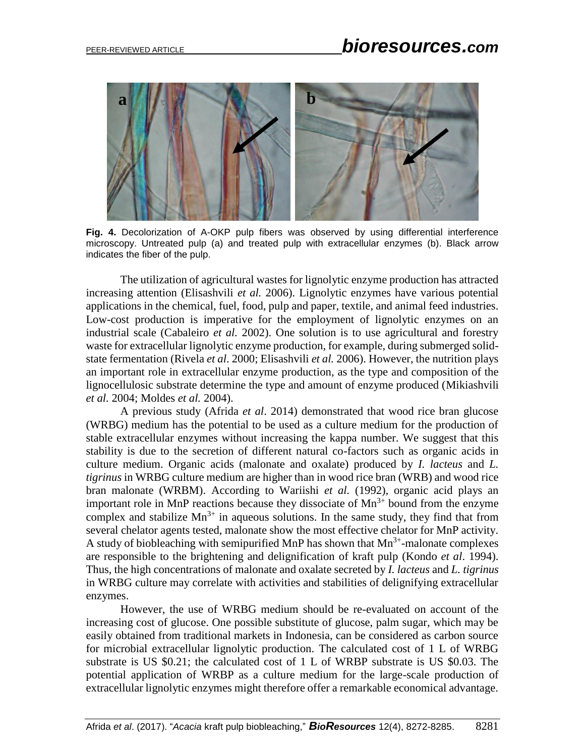

**Fig. 4.** Decolorization of A-OKP pulp fibers was observed by using differential interference microscopy. Untreated pulp (a) and treated pulp with extracellular enzymes (b). Black arrow indicates the fiber of the pulp.

The utilization of agricultural wastes for lignolytic enzyme production has attracted increasing attention (Elisashvili *et al.* 2006). Lignolytic enzymes have various potential applications in the chemical, fuel, food, pulp and paper, textile, and animal feed industries. Low-cost production is imperative for the employment of lignolytic enzymes on an industrial scale (Cabaleiro *et al.* 2002). One solution is to use agricultural and forestry waste for extracellular lignolytic enzyme production, for example, during submerged solidstate fermentation (Rivela *et al*. 2000; Elisashvili *et al.* 2006). However, the nutrition plays an important role in extracellular enzyme production, as the type and composition of the lignocellulosic substrate determine the type and amount of enzyme produced (Mikiashvili *et al.* 2004; Moldes *et al.* 2004).

A previous study (Afrida *et al*. 2014) demonstrated that wood rice bran glucose (WRBG) medium has the potential to be used as a culture medium for the production of stable extracellular enzymes without increasing the kappa number. We suggest that this stability is due to the secretion of different natural co-factors such as organic acids in culture medium. Organic acids (malonate and oxalate) produced by *I. lacteus* and *L. tigrinus* in WRBG culture medium are higher than in wood rice bran (WRB) and wood rice bran malonate (WRBM). According to Wariishi *et al.* (1992), organic acid plays an important role in MnP reactions because they dissociate of  $Mn^{3+}$  bound from the enzyme complex and stabilize  $Mn^{3+}$  in aqueous solutions. In the same study, they find that from several chelator agents tested, malonate show the most effective chelator for MnP activity. A study of biobleaching with semipurified MnP has shown that  $Mn^{3+}$ -malonate complexes are responsible to the brightening and delignification of kraft pulp (Kondo *et al*. 1994). Thus, the high concentrations of malonate and oxalate secreted by *I. lacteus* and *L. tigrinus* in WRBG culture may correlate with activities and stabilities of delignifying extracellular enzymes.

However, the use of WRBG medium should be re-evaluated on account of the increasing cost of glucose. One possible substitute of glucose, palm sugar, which may be easily obtained from traditional markets in Indonesia, can be considered as carbon source for microbial extracellular lignolytic production. The calculated cost of 1 L of WRBG substrate is US \$0.21; the calculated cost of 1 L of WRBP substrate is US \$0.03. The potential application of WRBP as a culture medium for the large-scale production of extracellular lignolytic enzymes might therefore offer a remarkable economical advantage.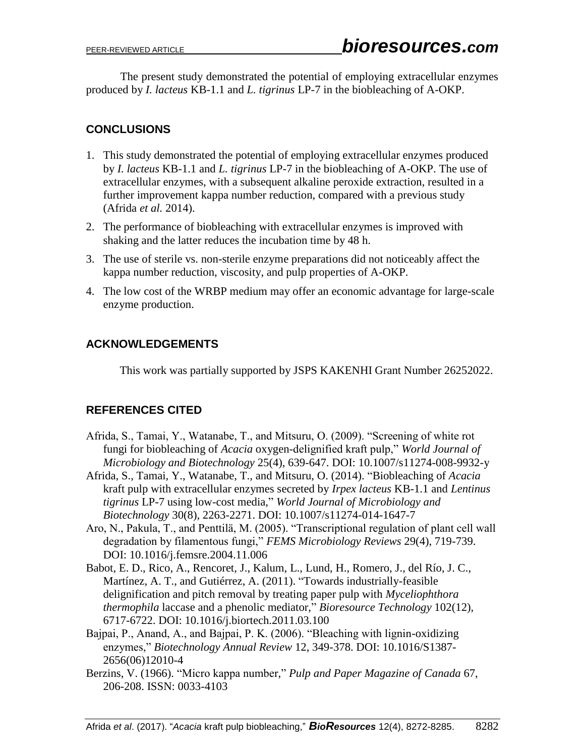The present study demonstrated the potential of employing extracellular enzymes produced by *I. lacteus* KB-1.1 and *L. tigrinus* LP-7 in the biobleaching of A-OKP.

# **CONCLUSIONS**

- 1. This study demonstrated the potential of employing extracellular enzymes produced by *I. lacteus* KB-1.1 and *L. tigrinus* LP-7 in the biobleaching of A-OKP. The use of extracellular enzymes, with a subsequent alkaline peroxide extraction, resulted in a further improvement kappa number reduction, compared with a previous study (Afrida *et al.* 2014).
- 2. The performance of biobleaching with extracellular enzymes is improved with shaking and the latter reduces the incubation time by 48 h.
- 3. The use of sterile vs. non-sterile enzyme preparations did not noticeably affect the kappa number reduction, viscosity, and pulp properties of A-OKP.
- 4. The low cost of the WRBP medium may offer an economic advantage for large-scale enzyme production.

# **ACKNOWLEDGEMENTS**

This work was partially supported by JSPS KAKENHI Grant Number 26252022.

# **REFERENCES CITED**

- Afrida, S., Tamai, Y., Watanabe, T., and Mitsuru, O. (2009). "Screening of white rot fungi for biobleaching of *Acacia* oxygen-delignified kraft pulp," *World Journal of Microbiology and Biotechnology* 25(4), 639-647. DOI: 10.1007/s11274-008-9932-y
- Afrida, S., Tamai, Y., Watanabe, T., and Mitsuru, O. (2014). "Biobleaching of *Acacia* kraft pulp with extracellular enzymes secreted by *Irpex lacteus* KB-1.1 and *Lentinus tigrinus* LP-7 using low-cost media," *World Journal of Microbiology and Biotechnology* 30(8), 2263-2271. DOI: 10.1007/s11274-014-1647-7
- Aro, N., Pakula, T., and Penttilä, M. (2005). "Transcriptional regulation of plant cell wall degradation by filamentous fungi," *FEMS Microbiology Reviews* 29(4), 719-739. DOI: 10.1016/j.femsre.2004.11.006
- Babot, E. D., Rico, A., Rencoret, J., Kalum, L., Lund, H., Romero, J., del Río, J. C., Martínez, A. T., and Gutiérrez, A. (2011). "Towards industrially-feasible delignification and pitch removal by treating paper pulp with *Myceliophthora thermophila* laccase and a phenolic mediator," *Bioresource Technology* 102(12), 6717-6722. DOI: [10.1016/j.biortech.2011.03.100](https://doi.org/10.1016/j.biortech.2011.03.100)
- Bajpai, P., Anand, A., and Bajpai, P. K. (2006). "Bleaching with lignin-oxidizing enzymes," *Biotechnology Annual Review* 12, 349-378. DOI: 10.1016/S1387- 2656(06)12010-4
- Berzins, V. (1966). "Micro kappa number," *Pulp and Paper Magazine of Canada* 67, 206-208. ISSN: 0033-4103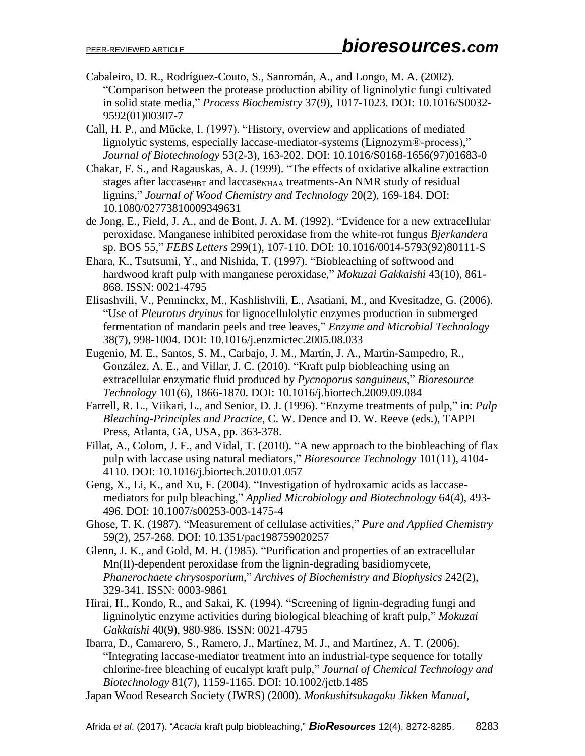- Cabaleiro, D. R., Rodrı́guez-Couto, S., Sanromán, A., and Longo, M. A. (2002). "Comparison between the protease production ability of ligninolytic fungi cultivated in solid state media," *Process Biochemistry* 37(9), 1017-1023. DOI: [10.1016/S0032-](https://www.cheric.org/research/tech/periodicals/doi.php?art_seq=1423162) [9592\(01\)00307-7](https://www.cheric.org/research/tech/periodicals/doi.php?art_seq=1423162)
- Call, H. P., and Mücke, I. (1997). "History, overview and applications of mediated lignolytic systems, especially laccase-mediator-systems (Lignozym®-process)," *Journal of Biotechnology* 53(2-3), 163-202. DOI: 10.1016/S0168-1656(97)01683-0
- Chakar, F. S., and Ragauskas, A. J. (1999). "The effects of oxidative alkaline extraction stages after laccase<sub>HBT</sub> and laccase<sub>NHAA</sub> treatments-An NMR study of residual lignins," *Journal of Wood Chemistry and Technology* 20(2), 169-184. DOI: 10.1080/02773810009349631
- de Jong, E., Field, J. A., and de Bont, J. A. M. (1992). "Evidence for a new extracellular peroxidase. Manganese inhibited peroxidase from the white-rot fungus *Bjerkandera* sp. BOS 55," *FEBS Letters* 299(1), 107-110. DOI: [10.1016/0014-5793\(92\)80111-S](https://doi.org/10.1016/0014-5793(92)80111-S)
- Ehara, K., Tsutsumi, Y., and Nishida, T. (1997). "Biobleaching of softwood and hardwood kraft pulp with manganese peroxidase," *Mokuzai Gakkaishi* 43(10), 861- 868. ISSN: 0021-4795
- Elisashvili, V., Penninckx, M., Kashlishvili, E., Asatiani, M., and Kvesitadze, G. (2006). "Use of *Pleurotus dryinus* for lignocellulolytic enzymes production in submerged fermentation of mandarin peels and tree leaves," *Enzyme and Microbial Technology* 38(7), 998-1004. DOI: [10.1016/j.enzmictec.2005.08.033](https://doi.org/10.1016/j.enzmictec.2005.08.033)
- Eugenio, M. E., Santos, S. M., Carbajo, J. M., Martín, J. A., Martín-Sampedro, R., González, A. E., and Villar, J. C. (2010). "Kraft pulp biobleaching using an extracellular enzymatic fluid produced by *Pycnoporus sanguineus*," *Bioresource Technology* 101(6), 1866-1870. DOI: 10.1016/j.biortech.2009.09.084
- Farrell, R. L., Viikari, L., and Senior, D. J. (1996). "Enzyme treatments of pulp," in: *Pulp Bleaching-Principles and Practice*, C. W. Dence and D. W. Reeve (eds.), TAPPI Press, Atlanta, GA, USA, pp. 363-378.
- Fillat, A., Colom, J. F., and Vidal, T. (2010). "A new approach to the biobleaching of flax pulp with laccase using natural mediators," *Bioresource Technology* 101(11), 4104- 4110. DOI: [10.1016/j.biortech.2010.01.057](https://doi.org/10.1016/j.biortech.2010.01.057)
- Geng, X., Li, K., and Xu, F. (2004). "Investigation of hydroxamic acids as laccasemediators for pulp bleaching," *Applied Microbiology and Biotechnology* 64(4), 493- 496. DOI: 10.1007/s00253-003-1475-4
- Ghose, T. K. (1987). "Measurement of cellulase activities," *Pure and Applied Chemistry* 59(2), 257-268. DOI: [10.1351/pac198759020257](https://doi.org/10.1351/pac198759020257)
- Glenn, J. K., and Gold, M. H. (1985). "Purification and properties of an extracellular Mn(II)-dependent peroxidase from the lignin-degrading basidiomycete, *Phanerochaete chrysosporium*," *Archives of Biochemistry and Biophysics* 242(2), 329-341. ISSN: 0003-9861
- Hirai, H., Kondo, R., and Sakai, K. (1994). "Screening of lignin-degrading fungi and ligninolytic enzyme activities during biological bleaching of kraft pulp," *Mokuzai Gakkaishi* 40(9), 980-986. ISSN: 0021-4795
- Ibarra, D., Camarero, S., Ramero, J., Martínez, M. J., and Martínez, A. T. (2006). "Integrating laccase-mediator treatment into an industrial-type sequence for totally chlorine-free bleaching of eucalypt kraft pulp," *Journal of Chemical Technology and Biotechnology* 81(7), 1159-1165. DOI: 10.1002/jctb.1485
- Japan Wood Research Society (JWRS) (2000). *Monkushitsukagaku Jikken Manual*,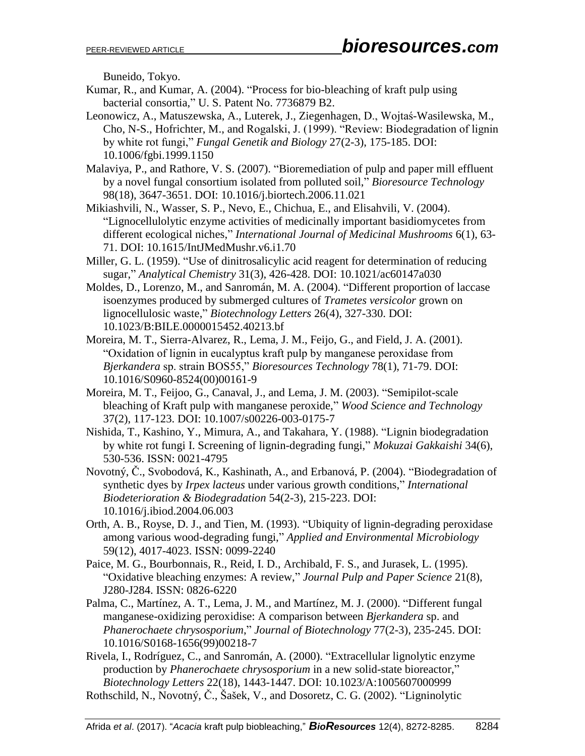Buneido, Tokyo.

- Kumar, R., and Kumar, A. (2004). "Process for bio-bleaching of kraft pulp using bacterial consortia," U. S. Patent No. 7736879 B2.
- Leonowicz, A., Matuszewska, A., Luterek, J., Ziegenhagen, D., Wojtaś-Wasilewska, M., Cho, N-S., Hofrichter, M., and Rogalski, J. (1999). "Review: Biodegradation of lignin by white rot fungi," *Fungal Genetik and Biology* 27(2-3), 175-185. DOI: 10.1006/fgbi.1999.1150
- Malaviya, P., and Rathore, V. S. (2007). "Bioremediation of pulp and paper mill effluent by a novel fungal consortium isolated from polluted soil," *Bioresource Technology* 98(18), 3647-3651. DOI: [10.1016/j.biortech.2006.11.021](http://dx.doi.org/10.1016/j.biortech.2006.11.021)
- Mikiashvili, N., Wasser, S. P., Nevo, E., Chichua, E., and Elisahvili, V. (2004). "Lignocellulolytic enzyme activities of medicinally important basidiomycetes from different ecological niches," *International Journal of Medicinal Mushrooms* 6(1), 63- 71. DOI: 10.1615/IntJMedMushr.v6.i1.70
- Miller, G. L. (1959). "Use of dinitrosalicylic acid reagent for determination of reducing sugar," *Analytical Chemistry* 31(3), 426-428. DOI: 10.1021/ac60147a030
- Moldes, D., Lorenzo, M., and Sanromán, M. A. (2004). "Different proportion of laccase isoenzymes produced by submerged cultures of *Trametes versicolor* grown on lignocellulosic waste," *Biotechnology Letters* 26(4), 327-330. DOI: 10.1023/B:BILE.0000015452.40213.bf
- Moreira, M. T., Sierra-Alvarez, R., Lema, J. M., Feijo, G., and Field, J. A. (2001). "Oxidation of lignin in eucalyptus kraft pulp by manganese peroxidase from *Bjerkandera* sp. strain BOS55," *Bioresources Technology* 78(1), 71-79. DOI: 10.1016/S0960-8524(00)00161-9
- Moreira, M. T., Feijoo, G., Canaval, J., and Lema, J. M. (2003). "Semipilot-scale bleaching of Kraft pulp with manganese peroxide," *Wood Science and Technology* 37(2), 117-123. DOI: 10.1007/s00226-003-0175-7
- Nishida, T., Kashino, Y., Mimura, A., and Takahara, Y. (1988). "Lignin biodegradation by white rot fungi I. Screening of lignin-degrading fungi," *Mokuzai Gakkaishi* 34(6), 530-536. ISSN: 0021-4795
- Novotný, Č., Svobodová, K., Kashinath, A., and Erbanová, P. (2004). "Biodegradation of synthetic dyes by *Irpex lacteus* under various growth conditions," *International Biodeterioration & Biodegradation* 54(2-3), 215-223. DOI: 10.1016/j.ibiod.2004.06.003
- Orth, A. B., Royse, D. J., and Tien, M. (1993). "Ubiquity of lignin-degrading peroxidase among various wood-degrading fungi," *Applied and Environmental Microbiology* 59(12), 4017-4023. ISSN: 0099-2240
- Paice, M. G., Bourbonnais, R., Reid, I. D., Archibald, F. S., and Jurasek, L. (1995). "Oxidative bleaching enzymes: A review," *Journal Pulp and Paper Science* 21(8), J280-J284. ISSN: 0826-6220
- Palma, C., Martínez, A. T., Lema, J. M., and Martínez, M. J. (2000). "Different fungal manganese-oxidizing peroxidise: A comparison between *Bjerkandera* sp. and *Phanerochaete chrysosporium*," *Journal of Biotechnology* 77(2-3), 235-245. DOI: 10.1016/S0168-1656(99)00218-7
- Rivela, I., Rodríguez, C., and Sanromán, A. (2000). "Extracellular lignolytic enzyme production by *Phanerochaete chrysosporium* in a new solid-state bioreactor," *Biotechnology Letters* 22(18), 1443-1447. DOI: 10.1023/A:1005607000999
- Rothschild, N., Novotný, Č., Šašek, V., and Dosoretz, C. G. (2002). "Ligninolytic